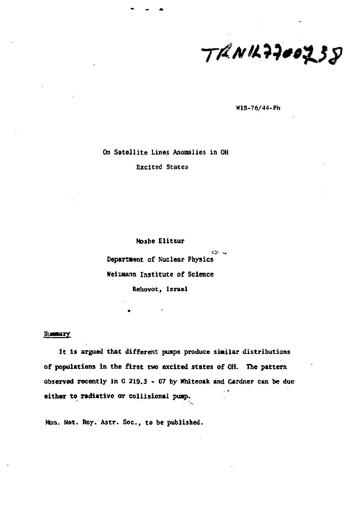$TANK2200238$ 

**WIS-76/44-Ph** 

**On Satellite Lines Anomalies in OH Excited States** 

**Moshe Elitsur**  یہ ج **Department of Nuclear Physics Weiinann Institute of Science Rehovot, Israel** 

## Summary

**It is argued that different puaps produce similar distributions of populations in the first two excited states of OH. The pattern observed recently in G 219.3 - 07 by Whiteoak and Gardner can be due either to radiativo or collisional pimp.** 

**Mon. Not. Rcy. Aatr. Soc , to be published.**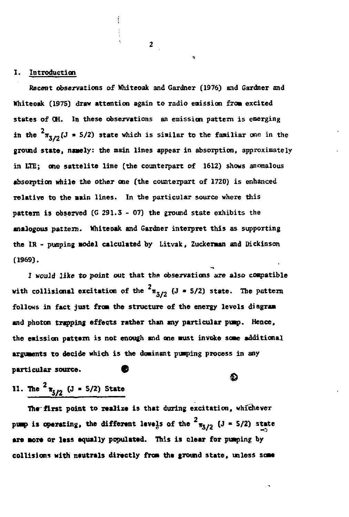## **I. Introduction**

**Recent observations of Whiteoak and Gardner (1976) and Gardner and Whiteoak (1975) draw attention again to radio enission from excited states of OH. In these observations an emission pattern is emerging**  in the  $2\pi$ <sub>*x m*</sub>(*J* = 5/2) state which is similar to the familiar one in the **ground state, namely: the main lines appear in absorption, approximately in LTE; one sattelite line (the counterpart of 1612) shows anomalous absorption while the other one (the counterpart of 1720) is enhanced relative to the main lines. In the particular source where this pattern is observed (G 291.3 - 07) the ground state exhibits the analogous pattern. Mhiteoak and Gardner interpret this as supporting**  the IR - pumping model calculated by Litvak, Zuckerman and Dickinson **(1969).** 

**2** 

**I would like to point out that the observations are also compatible**  with collisional excitation of the  $\frac{2}{\pi}$  (J = 5/2) state. The pattern **follows in fact just from the structure of the energy levels diagram and photon trapping effects rather than any particular pump. Hence, the emission pattern is not enough and one must invoke some additional arguments to decide which is the dominant pumping process in any particular source. 0 ©** 

**II. The** *<sup>2</sup>rin* **(J - 5/2) State** 

**The first point to realize is that during excitation, whichever**  pump is operating, the different levels of the  $^2$   $\pi_{3/2}$  (J = 5/2) state **era mora or less equally populated. This is clear for pumping by collisions with neutrals directly from the ground state, unless some**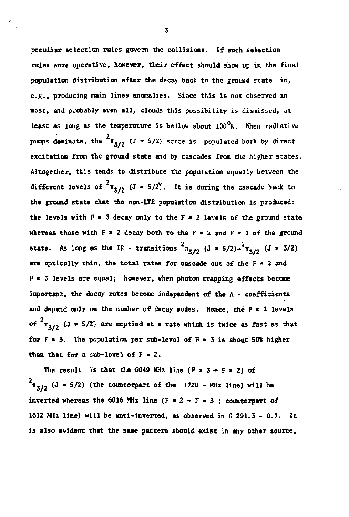**peculiar selection rule s govern the collisions. If such selection rules were operative , however, thei r effec t should show up in the final**  population distribution after the decay back to the ground state in, **e.g. , producing main line s anomalies. Since this is not observed in**  most, and probably even all, clouds this possibility is dismissed, at **least as long as the temperature is bellow about 100°K. When radiative**  pumps dominate, the  $2\pi_{3/2}$  (J = 5/2) state is populated both by direct excitation from the ground state and by cascades from the higher states. Altogether, this tends to distribute the population equally between the different levels of  $2\pi_{3/2}$  (J = 5/2). It is during the cascade back to the ground state that the non-LTE population distribution is produced: the levels with  $F = 3$  decay only to the  $F = 2$  levels of the ground state whereas those with  $F = 2$  decay both to the  $F = 2$  and  $F = 1$  of the ground state. As long as the IR - transitions  $^{2} \pi_{3/2}$  (J = 5/2)+ $^{2} \pi_{3/2}$  (J = 3/2) **state . As long as the IR - transitions it <sup>3</sup> " (J » S/2)-»** *n3,2* **( <sup>J</sup> \*<sup>3</sup> / 2 ) F** = 3 levels are equal; however, when photon trapping effects become **F « 3 levels are equal; however, when photon trapping effects become inportan!:, the decay rates become independent of the A - coefficients and depend only on the number of decay nodes. Hence, the F • 2 levels**  of  $^{2}$  $_{\pi_{2}/2}$  (*J* = 5/2) are emptied at a rate which is twice as fast as that for  $F = 3$ . The population per sub-level of  $F = 3$  is about 50% higher than that for a sub-level of  $F = 2$ .

The result is that the 6049 MHz line  $(F = 3 + F = 2)$  of  $\frac{1}{3}$  (J = 5/2) (the counterpart of the 1720 - MHz line) will be inverted whereas the 6016 MHz line  $(F = 2 + P = 3$  ; counterpart of **1612** *Mil* **line ) wil l be anti-inverted, as observed in G 291.3 - 0.7 . It is also evident that the same pattern should exist in any other source,** 

3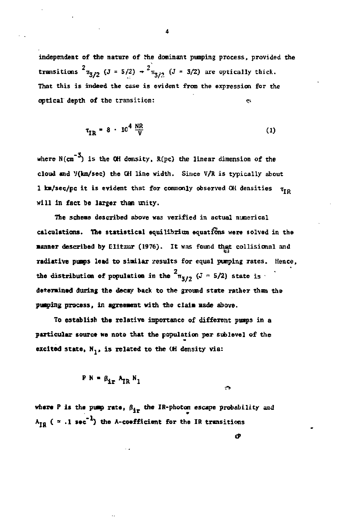**independent of the nature of** *the* **dominant pumping process, provided the transitions**  $^{2} \pi_{3/2}$  (J = 5/2)  $\rightarrow$   $^{2} \pi_{3/2}$  (J = 3/2) are optically thick. That this is indeed the case is evident from the expression for the **optical depth of the transition:** 

$$
\tau_{\rm IR} = 8 \cdot 10^4 \frac{\rm NR}{\rm V} \tag{1}
$$

**where N(cm" ) is the OH density, R(pc) the linear dimension of the cloud and V(km/sec) the OH line width. Since V/R is typically about 1 km/sec/pc it is evident that for commonly observed OH densities**  $\tau_{\text{TD}}$ **will in fact be larger than unity.** 

**The scheme described above was verified in actual numerical calculations. The statistical equilibrium equations were solved in the manner described by Elitzur (1976). it was found that collisional and radiative pumps lead to similar results for equal pumping rates. Hence, the distribution of population in the**  $\frac{2\pi}{3}$ **, (***J* **= 5/2) state is determined during the decay back to the ground state rather than the pumping process, in agreement with the claim made above.** 

**To establish the relative importance of different pumps in a**  particular source we note that the population per sublevel of the excited state, N<sub>1</sub>, is related to the (H density via:

**P N** =  $\beta_{i\text{r}}$  **A**<sub>TR</sub> **N**<sub>1</sub>

٣t

*&* 

where P is the pump rate,  $\beta_{i\tau}$  the IR-photon escape probability and  $A_{IR}$  (  $\approx$  .1 sec<sup>-1</sup>) the A-coefficient for the IR transitions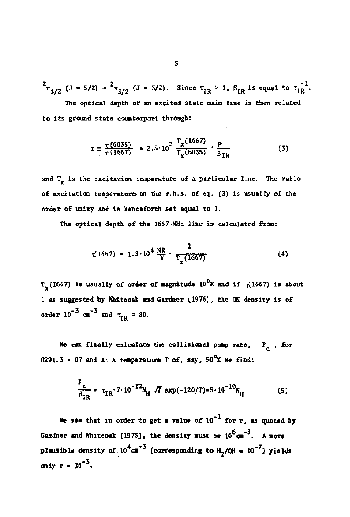$^{2}$  $\pi_{3/2}$  (J = 5/2) +  $^{2}$  $\pi_{3/2}$  (J = 3/2). Since  $\tau_{TR}$  > 1,  $\beta_{TR}$  is equal to  $\tau_{TR}^{-1}$ . **The optical depth of an excited state main line is then related to its ground state counterpart through:** 

$$
r = \frac{r(6035)}{r(1667)} = 2.5 \cdot 10^2 \frac{T_x(1667)}{T_x(6035)} \cdot \frac{p}{\beta_{IR}}
$$
(3)

and  $T_x$  is the excitation temperature of a particular line. The ratio **of excitation tenperatures on the r.h.s. of eq. [3) is usually of the order of unity and is henceforth set equal to 1.** 

**The optical depth of the 1667-MHz line is calculated from:** 

$$
\tau(1667) = 1.3 \cdot 10^4 \frac{\text{NR}}{\text{V}} \cdot \frac{1}{\text{T}_{\text{V}}(1667)} \tag{4}
$$

 $T_{\rm v}(1667)$  is usually of order of magnitude  $10^{0}$ K and if  $\eta(1667)$  is about **1 as suggested by Hhiteoak and Gardner 11976), the OH density is of**  order  $10^{-3}$  cm<sup>-3</sup> and  $\tau_{\text{r}} \approx 80$ .

**Ne can finally calculate the collisional pump rate, F , for G291.3 - 07 and at a temperature T of, say, 50°K we find:** 

$$
\frac{P_{c}}{B_{IR}} = \tau_{IR} \cdot 7 \cdot 10^{-12} N_{H} \sqrt{T} \exp(-120/T) = 5 \cdot 10^{-10} N_{H}
$$
 (5)

**Ife see that in order to get a value of 10<sup>-1</sup> for r, as quoted by** Gardner and Whiteoak (1975), the density must be  $10^6$  cm<sup>-3</sup>. A more plausible density of  $10^4$ cm<sup>-3</sup> (corresponding to  $H_2$ /OH =  $10^{-7}$ ) yields **p**  $\text{sn} 1$   $\text{sn} 10^{-3}$ .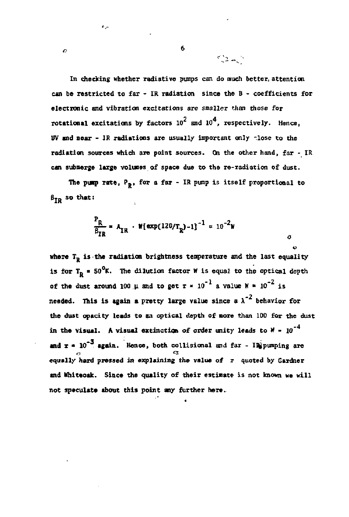**In checking whether radiative pumps can do much better, attention can be restricted to far - IR radiation since the B - coefficients for electronic and vibration excitations are smaller** *than* **those for rotational excitations by factors**  $10^2$  **and**  $10^4$ **, respectively. Hence,** *W* and near - IR radiations are usually important only alose to the radiation sources which are point sources. On the other hand, far - IR can submerge large volumes of space due to the re-radiation of dust.

The pump rate,  $P_n$ , for a far - IR pump is itself proportional to **The pwp rate, P», for a far - IR pump is itself proportional to** 

$$
\frac{P_R}{\beta_{IR}} = A_{IR} \cdot W[\exp(120/T_R)-1]^{-1} \approx 10^{-2}W
$$

**o where T<sub>R</sub>** is the radiation brightness temperature and the last equality is for  $T_p = 50^\circ K$ . The dilution factor W is equal to the optical depth of the dust around 100 **u** and to get  $r = 10^{-1}$  a value  $N = 10^{-2}$  is needed. This is again a pretty large value since a  $\lambda^{-2}$  behavior for the dust opacity leads to an optical depth of more than 100 for the dust in the visual. A visual extinction of order unity leads to  $N = 10^{-4}$ and  $r = 10^{-3}$  sgain. Hence, both collisional and far - Ingpunping are equally hard pressed in explaining the value of r quoted by Gardner and Whiteoak. Since the quality of their estimate is not known we will not speculate about this point any further here.

**not speculate about this point any further here.** 

6

 $2.1$ 

Ò

 $\ddot{\cdot}$ 

ò